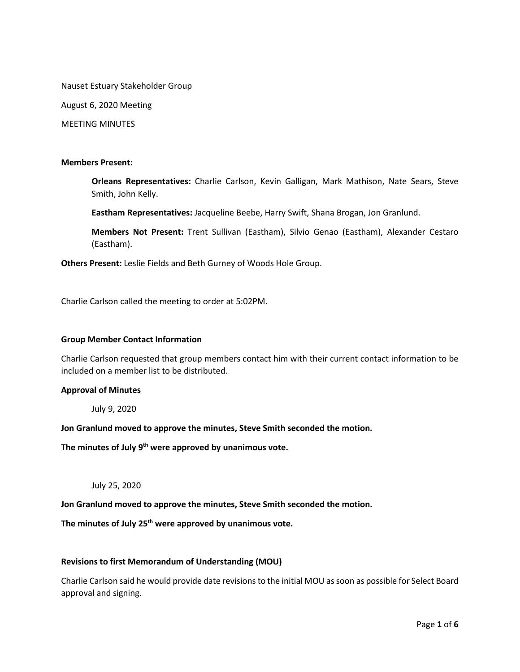Nauset Estuary Stakeholder Group

August 6, 2020 Meeting

MEETING MINUTES

#### **Members Present:**

**Orleans Representatives:** Charlie Carlson, Kevin Galligan, Mark Mathison, Nate Sears, Steve Smith, John Kelly.

**Eastham Representatives:** Jacqueline Beebe, Harry Swift, Shana Brogan, Jon Granlund.

**Members Not Present:** Trent Sullivan (Eastham), Silvio Genao (Eastham), Alexander Cestaro (Eastham).

**Others Present:** Leslie Fields and Beth Gurney of Woods Hole Group.

Charlie Carlson called the meeting to order at 5:02PM.

#### **Group Member Contact Information**

Charlie Carlson requested that group members contact him with their current contact information to be included on a member list to be distributed.

# **Approval of Minutes**

July 9, 2020

**Jon Granlund moved to approve the minutes, Steve Smith seconded the motion.** 

**The minutes of July 9th were approved by unanimous vote.** 

July 25, 2020

**Jon Granlund moved to approve the minutes, Steve Smith seconded the motion.** 

**The minutes of July 25th were approved by unanimous vote.** 

#### **Revisions to first Memorandum of Understanding (MOU)**

Charlie Carlson said he would provide date revisions to the initial MOU as soon as possible for Select Board approval and signing.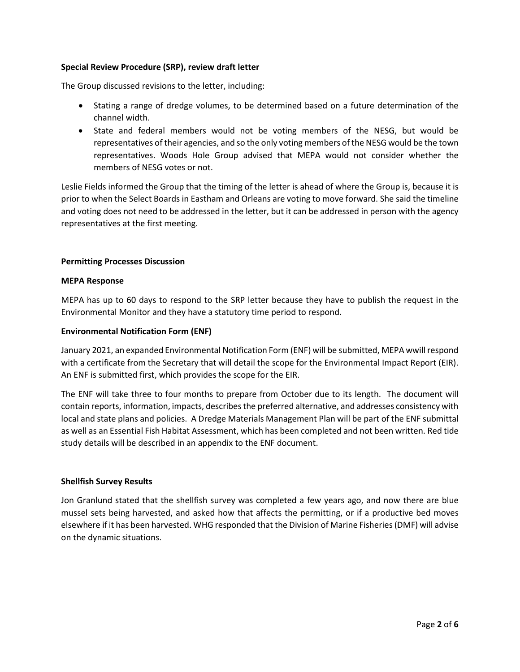## **Special Review Procedure (SRP), review draft letter**

The Group discussed revisions to the letter, including:

- Stating a range of dredge volumes, to be determined based on a future determination of the channel width.
- State and federal members would not be voting members of the NESG, but would be representatives of their agencies, and so the only voting members of the NESG would be the town representatives. Woods Hole Group advised that MEPA would not consider whether the members of NESG votes or not.

Leslie Fields informed the Group that the timing of the letter is ahead of where the Group is, because it is prior to when the Select Boards in Eastham and Orleans are voting to move forward. She said the timeline and voting does not need to be addressed in the letter, but it can be addressed in person with the agency representatives at the first meeting.

## **Permitting Processes Discussion**

#### **MEPA Response**

MEPA has up to 60 days to respond to the SRP letter because they have to publish the request in the Environmental Monitor and they have a statutory time period to respond.

## **Environmental Notification Form (ENF)**

January 2021, an expanded Environmental Notification Form (ENF) will be submitted, MEPA wwill respond with a certificate from the Secretary that will detail the scope for the Environmental Impact Report (EIR). An ENF is submitted first, which provides the scope for the EIR.

The ENF will take three to four months to prepare from October due to its length. The document will contain reports, information, impacts, describesthe preferred alternative, and addresses consistency with local and state plans and policies. A Dredge Materials Management Plan will be part of the ENF submittal as well as an Essential Fish Habitat Assessment, which has been completed and not been written. Red tide study details will be described in an appendix to the ENF document.

#### **Shellfish Survey Results**

Jon Granlund stated that the shellfish survey was completed a few years ago, and now there are blue mussel sets being harvested, and asked how that affects the permitting, or if a productive bed moves elsewhere if it has been harvested. WHG responded that the Division of Marine Fisheries (DMF) will advise on the dynamic situations.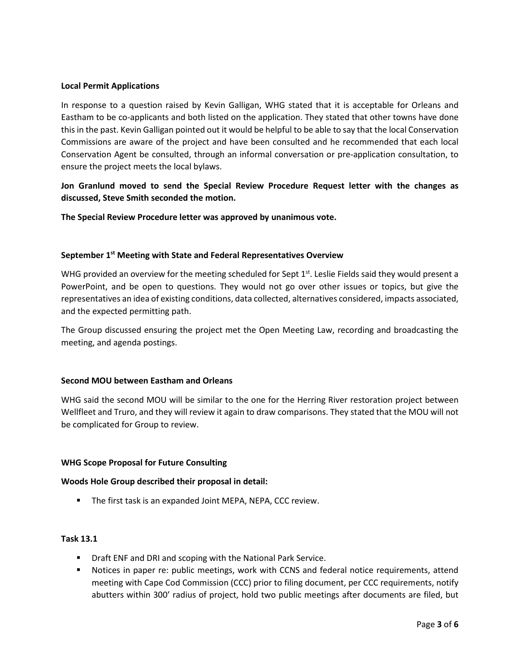# **Local Permit Applications**

In response to a question raised by Kevin Galligan, WHG stated that it is acceptable for Orleans and Eastham to be co-applicants and both listed on the application. They stated that other towns have done this in the past. Kevin Galligan pointed out it would be helpful to be able to say that the local Conservation Commissions are aware of the project and have been consulted and he recommended that each local Conservation Agent be consulted, through an informal conversation or pre-application consultation, to ensure the project meets the local bylaws.

**Jon Granlund moved to send the Special Review Procedure Request letter with the changes as discussed, Steve Smith seconded the motion.** 

**The Special Review Procedure letter was approved by unanimous vote.** 

## **September 1st Meeting with State and Federal Representatives Overview**

WHG provided an overview for the meeting scheduled for Sept  $1^{st}$ . Leslie Fields said they would present a PowerPoint, and be open to questions. They would not go over other issues or topics, but give the representatives an idea of existing conditions, data collected, alternatives considered, impacts associated, and the expected permitting path.

The Group discussed ensuring the project met the Open Meeting Law, recording and broadcasting the meeting, and agenda postings.

#### **Second MOU between Eastham and Orleans**

WHG said the second MOU will be similar to the one for the Herring River restoration project between Wellfleet and Truro, and they will review it again to draw comparisons. They stated that the MOU will not be complicated for Group to review.

#### **WHG Scope Proposal for Future Consulting**

#### **Woods Hole Group described their proposal in detail:**

■ The first task is an expanded Joint MEPA, NEPA, CCC review.

#### **Task 13.1**

- **Draft ENF and DRI and scoping with the National Park Service.**
- Notices in paper re: public meetings, work with CCNS and federal notice requirements, attend meeting with Cape Cod Commission (CCC) prior to filing document, per CCC requirements, notify abutters within 300' radius of project, hold two public meetings after documents are filed, but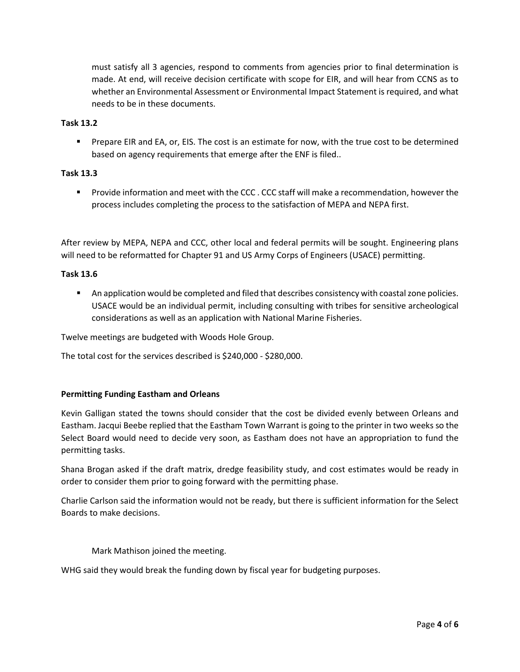must satisfy all 3 agencies, respond to comments from agencies prior to final determination is made. At end, will receive decision certificate with scope for EIR, and will hear from CCNS as to whether an Environmental Assessment or Environmental Impact Statement is required, and what needs to be in these documents.

## **Task 13.2**

**Prepare EIR and EA, or, EIS. The cost is an estimate for now, with the true cost to be determined** based on agency requirements that emerge after the ENF is filed..

## **Task 13.3**

**Provide information and meet with the CCC. CCC staff will make a recommendation, however the** process includes completing the process to the satisfaction of MEPA and NEPA first.

After review by MEPA, NEPA and CCC, other local and federal permits will be sought. Engineering plans will need to be reformatted for Chapter 91 and US Army Corps of Engineers (USACE) permitting.

## **Task 13.6**

**An application would be completed and filed that describes consistency with coastal zone policies.** USACE would be an individual permit, including consulting with tribes for sensitive archeological considerations as well as an application with National Marine Fisheries.

Twelve meetings are budgeted with Woods Hole Group.

The total cost for the services described is \$240,000 - \$280,000.

#### **Permitting Funding Eastham and Orleans**

Kevin Galligan stated the towns should consider that the cost be divided evenly between Orleans and Eastham. Jacqui Beebe replied that the Eastham Town Warrant is going to the printer in two weeks so the Select Board would need to decide very soon, as Eastham does not have an appropriation to fund the permitting tasks.

Shana Brogan asked if the draft matrix, dredge feasibility study, and cost estimates would be ready in order to consider them prior to going forward with the permitting phase.

Charlie Carlson said the information would not be ready, but there is sufficient information for the Select Boards to make decisions.

Mark Mathison joined the meeting.

WHG said they would break the funding down by fiscal year for budgeting purposes.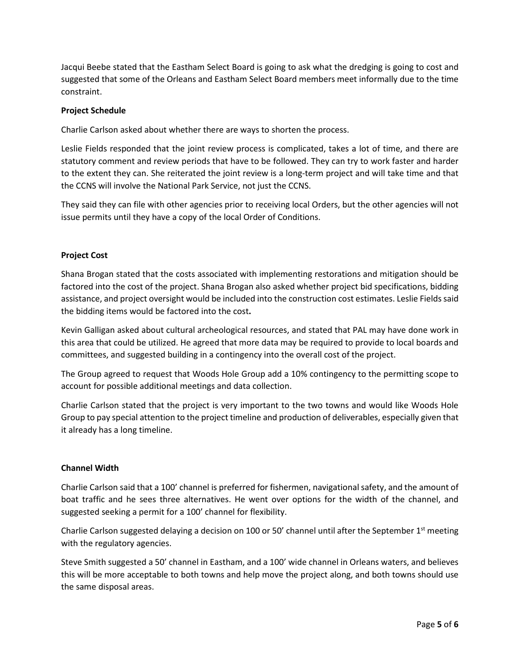Jacqui Beebe stated that the Eastham Select Board is going to ask what the dredging is going to cost and suggested that some of the Orleans and Eastham Select Board members meet informally due to the time constraint.

# **Project Schedule**

Charlie Carlson asked about whether there are ways to shorten the process.

Leslie Fields responded that the joint review process is complicated, takes a lot of time, and there are statutory comment and review periods that have to be followed. They can try to work faster and harder to the extent they can. She reiterated the joint review is a long-term project and will take time and that the CCNS will involve the National Park Service, not just the CCNS.

They said they can file with other agencies prior to receiving local Orders, but the other agencies will not issue permits until they have a copy of the local Order of Conditions.

## **Project Cost**

Shana Brogan stated that the costs associated with implementing restorations and mitigation should be factored into the cost of the project. Shana Brogan also asked whether project bid specifications, bidding assistance, and project oversight would be included into the construction cost estimates. Leslie Fields said the bidding items would be factored into the cost**.** 

Kevin Galligan asked about cultural archeological resources, and stated that PAL may have done work in this area that could be utilized. He agreed that more data may be required to provide to local boards and committees, and suggested building in a contingency into the overall cost of the project.

The Group agreed to request that Woods Hole Group add a 10% contingency to the permitting scope to account for possible additional meetings and data collection.

Charlie Carlson stated that the project is very important to the two towns and would like Woods Hole Group to pay special attention to the project timeline and production of deliverables, especially given that it already has a long timeline.

#### **Channel Width**

Charlie Carlson said that a 100' channel is preferred for fishermen, navigational safety, and the amount of boat traffic and he sees three alternatives. He went over options for the width of the channel, and suggested seeking a permit for a 100' channel for flexibility.

Charlie Carlson suggested delaying a decision on 100 or 50' channel until after the September  $1<sup>st</sup>$  meeting with the regulatory agencies.

Steve Smith suggested a 50' channel in Eastham, and a 100' wide channel in Orleans waters, and believes this will be more acceptable to both towns and help move the project along, and both towns should use the same disposal areas.